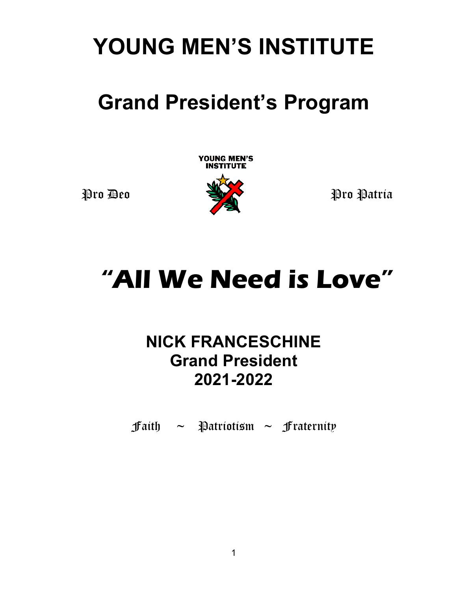# **YOUNG MEN'S INSTITUTE**

# **Grand President's Program**

**YOUNG MEN'S<br>INSTITUTE** 



# **"All We Need is Love"**

## **NICK FRANCESCHINE Grand President 2021-2022**

**faith**  $\sim$  **Patriotism**  $\sim$  **fraternity**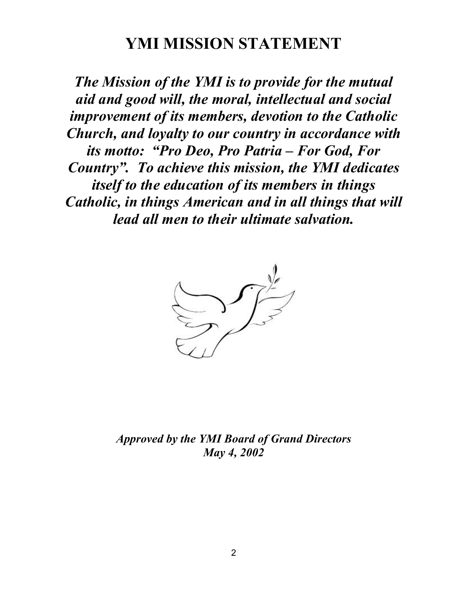### **YMI MISSION STATEMENT**

*The Mission of the YMI is to provide for the mutual aid and good will, the moral, intellectual and social improvement of its members, devotion to the Catholic Church, and loyalty to our country in accordance with its motto: "Pro Deo, Pro Patria – For God, For Country". To achieve this mission, the YMI dedicates itself to the education of its members in things Catholic, in things American and in all things that will lead all men to their ultimate salvation.*



*Approved by the YMI Board of Grand Directors May 4, 2002*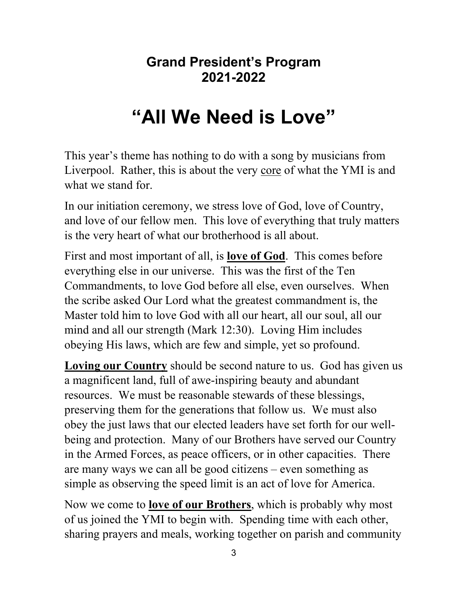### **Grand President's Program 2021-2022**

# **"All We Need is Love"**

This year's theme has nothing to do with a song by musicians from Liverpool. Rather, this is about the very core of what the YMI is and what we stand for.

In our initiation ceremony, we stress love of God, love of Country, and love of our fellow men. This love of everything that truly matters is the very heart of what our brotherhood is all about.

First and most important of all, is **love of God**. This comes before everything else in our universe. This was the first of the Ten Commandments, to love God before all else, even ourselves. When the scribe asked Our Lord what the greatest commandment is, the Master told him to love God with all our heart, all our soul, all our mind and all our strength (Mark 12:30). Loving Him includes obeying His laws, which are few and simple, yet so profound.

**Loving our Country** should be second nature to us. God has given us a magnificent land, full of awe-inspiring beauty and abundant resources. We must be reasonable stewards of these blessings, preserving them for the generations that follow us. We must also obey the just laws that our elected leaders have set forth for our wellbeing and protection. Many of our Brothers have served our Country in the Armed Forces, as peace officers, or in other capacities. There are many ways we can all be good citizens – even something as simple as observing the speed limit is an act of love for America.

Now we come to **love of our Brothers**, which is probably why most of us joined the YMI to begin with. Spending time with each other, sharing prayers and meals, working together on parish and community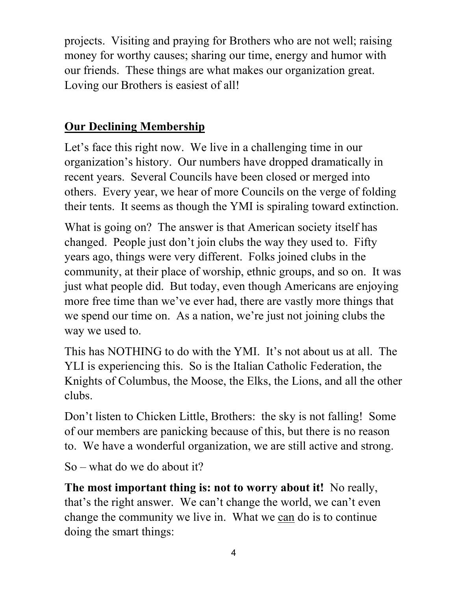projects. Visiting and praying for Brothers who are not well; raising money for worthy causes; sharing our time, energy and humor with our friends. These things are what makes our organization great. Loving our Brothers is easiest of all!

### **Our Declining Membership**

Let's face this right now. We live in a challenging time in our organization's history. Our numbers have dropped dramatically in recent years. Several Councils have been closed or merged into others. Every year, we hear of more Councils on the verge of folding their tents. It seems as though the YMI is spiraling toward extinction.

What is going on? The answer is that American society itself has changed. People just don't join clubs the way they used to. Fifty years ago, things were very different. Folks joined clubs in the community, at their place of worship, ethnic groups, and so on. It was just what people did. But today, even though Americans are enjoying more free time than we've ever had, there are vastly more things that we spend our time on. As a nation, we're just not joining clubs the way we used to.

This has NOTHING to do with the YMI. It's not about us at all. The YLI is experiencing this. So is the Italian Catholic Federation, the Knights of Columbus, the Moose, the Elks, the Lions, and all the other clubs.

Don't listen to Chicken Little, Brothers: the sky is not falling! Some of our members are panicking because of this, but there is no reason to. We have a wonderful organization, we are still active and strong.

So – what do we do about it?

**The most important thing is: not to worry about it!** No really, that's the right answer. We can't change the world, we can't even change the community we live in. What we can do is to continue doing the smart things: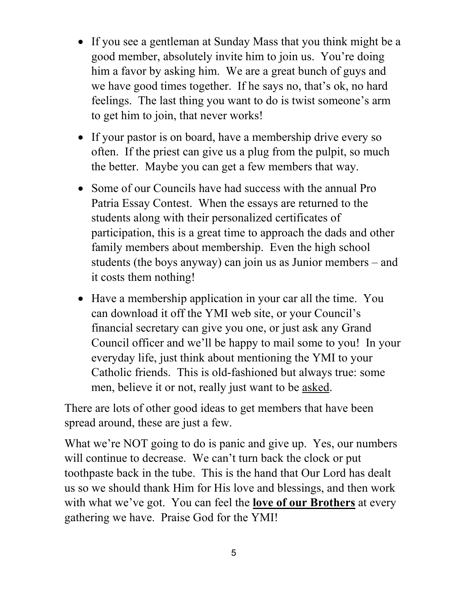- If you see a gentleman at Sunday Mass that you think might be a good member, absolutely invite him to join us. You're doing him a favor by asking him. We are a great bunch of guys and we have good times together. If he says no, that's ok, no hard feelings. The last thing you want to do is twist someone's arm to get him to join, that never works!
- If your pastor is on board, have a membership drive every so often. If the priest can give us a plug from the pulpit, so much the better. Maybe you can get a few members that way.
- Some of our Councils have had success with the annual Pro Patria Essay Contest. When the essays are returned to the students along with their personalized certificates of participation, this is a great time to approach the dads and other family members about membership. Even the high school students (the boys anyway) can join us as Junior members – and it costs them nothing!
- Have a membership application in your car all the time. You can download it off the YMI web site, or your Council's financial secretary can give you one, or just ask any Grand Council officer and we'll be happy to mail some to you! In your everyday life, just think about mentioning the YMI to your Catholic friends. This is old-fashioned but always true: some men, believe it or not, really just want to be asked.

There are lots of other good ideas to get members that have been spread around, these are just a few.

What we're NOT going to do is panic and give up. Yes, our numbers will continue to decrease. We can't turn back the clock or put toothpaste back in the tube. This is the hand that Our Lord has dealt us so we should thank Him for His love and blessings, and then work with what we've got. You can feel the **love of our Brothers** at every gathering we have. Praise God for the YMI!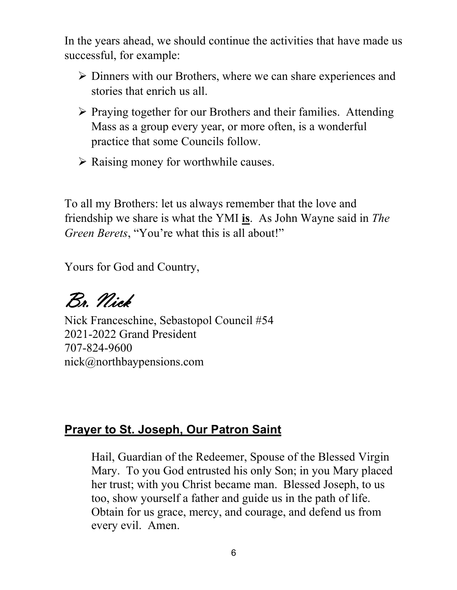In the years ahead, we should continue the activities that have made us successful, for example:

- $\triangleright$  Dinners with our Brothers, where we can share experiences and stories that enrich us all.
- $\triangleright$  Praying together for our Brothers and their families. Attending Mass as a group every year, or more often, is a wonderful practice that some Councils follow.
- $\triangleright$  Raising money for worthwhile causes.

To all my Brothers: let us always remember that the love and friendship we share is what the YMI **is**. As John Wayne said in *The Green Berets*, "You're what this is all about!"

Yours for God and Country,

Br. Nick

Nick Franceschine, Sebastopol Council #54 2021-2022 Grand President 707-824-9600 nick@northbaypensions.com

### **Prayer to St. Joseph, Our Patron Saint**

Hail, Guardian of the Redeemer, Spouse of the Blessed Virgin Mary. To you God entrusted his only Son; in you Mary placed her trust; with you Christ became man. Blessed Joseph, to us too, show yourself a father and guide us in the path of life. Obtain for us grace, mercy, and courage, and defend us from every evil. Amen.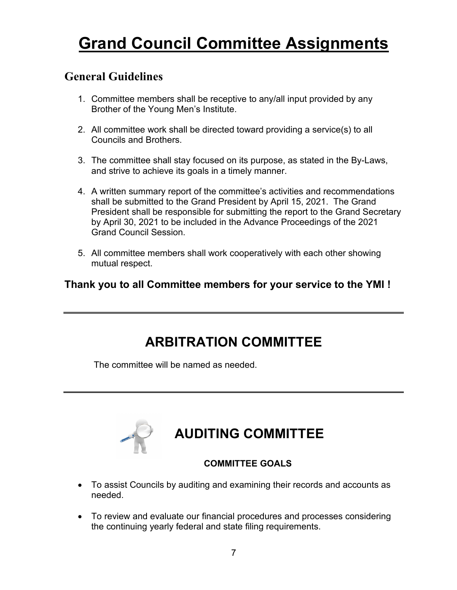## **Grand Council Committee Assignments**

### **General Guidelines**

- 1. Committee members shall be receptive to any/all input provided by any Brother of the Young Men's Institute.
- 2. All committee work shall be directed toward providing a service(s) to all Councils and Brothers.
- 3. The committee shall stay focused on its purpose, as stated in the By-Laws, and strive to achieve its goals in a timely manner.
- 4. A written summary report of the committee's activities and recommendations shall be submitted to the Grand President by April 15, 2021. The Grand President shall be responsible for submitting the report to the Grand Secretary by April 30, 2021 to be included in the Advance Proceedings of the 2021 Grand Council Session.
- 5. All committee members shall work cooperatively with each other showing mutual respect.

### **Thank you to all Committee members for your service to the YMI !**

### **ARBITRATION COMMITTEE**

The committee will be named as needed.



### **AUDITING COMMITTEE**

#### **COMMITTEE GOALS**

- To assist Councils by auditing and examining their records and accounts as needed.
- To review and evaluate our financial procedures and processes considering the continuing yearly federal and state filing requirements.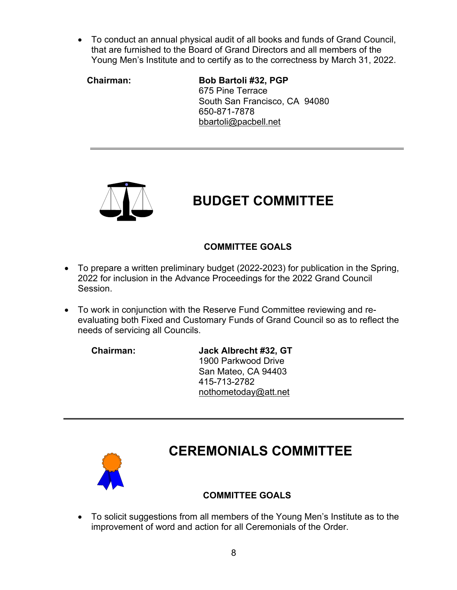• To conduct an annual physical audit of all books and funds of Grand Council, that are furnished to the Board of Grand Directors and all members of the Young Men's Institute and to certify as to the correctness by March 31, 2022.

 **Chairman: Bob Bartoli #32, PGP** 675 Pine Terrace South San Francisco, CA 94080 650-871-7878 [bbartoli@pacbell.net](mailto:bbartoli@pacbell.net)



## **BUDGET COMMITTEE**

### **COMMITTEE GOALS**

- To prepare a written preliminary budget (2022-2023) for publication in the Spring, 2022 for inclusion in the Advance Proceedings for the 2022 Grand Council Session.
- To work in conjunction with the Reserve Fund Committee reviewing and reevaluating both Fixed and Customary Funds of Grand Council so as to reflect the needs of servicing all Councils.

**Chairman: Jack Albrecht #32, GT** 1900 Parkwood Drive San Mateo, CA 94403 415-713-2782 [nothometoday@att.net](mailto:nothometoday@att.net)



### **CEREMONIALS COMMITTEE**

### **COMMITTEE GOALS**

• To solicit suggestions from all members of the Young Men's Institute as to the improvement of word and action for all Ceremonials of the Order.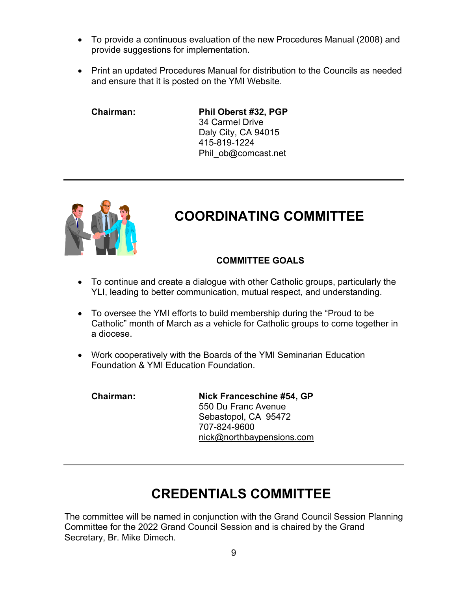- To provide a continuous evaluation of the new Procedures Manual (2008) and provide suggestions for implementation.
- Print an updated Procedures Manual for distribution to the Councils as needed and ensure that it is posted on the YMI Website.

**Chairman: Phil Oberst #32, PGP** 34 Carmel Drive Daly City, CA 94015 415-819-1224 [Phil\\_ob@comcast.net](mailto:Phil_ob@comcast.net)



### **COORDINATING COMMITTEE**

#### **COMMITTEE GOALS**

- To continue and create a dialogue with other Catholic groups, particularly the YLI, leading to better communication, mutual respect, and understanding.
- To oversee the YMI efforts to build membership during the "Proud to be Catholic" month of March as a vehicle for Catholic groups to come together in a diocese.
- Work cooperatively with the Boards of the YMI Seminarian Education Foundation & YMI Education Foundation.

**Chairman: Nick Franceschine #54, GP** 550 Du Franc Avenue Sebastopol, CA 95472 707-824-9600 [nick@northbaypensions.com](mailto:nick@northbaypensions.com)

### **CREDENTIALS COMMITTEE**

The committee will be named in conjunction with the Grand Council Session Planning Committee for the 2022 Grand Council Session and is chaired by the Grand Secretary, Br. Mike Dimech.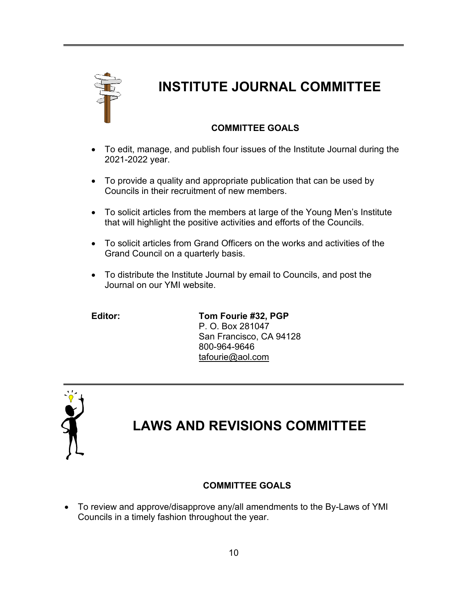

### **INSTITUTE JOURNAL COMMITTEE**

#### **COMMITTEE GOALS**

- To edit, manage, and publish four issues of the Institute Journal during the 2021-2022 year.
- To provide a quality and appropriate publication that can be used by Councils in their recruitment of new members.
- To solicit articles from the members at large of the Young Men's Institute that will highlight the positive activities and efforts of the Councils.
- To solicit articles from Grand Officers on the works and activities of the Grand Council on a quarterly basis.
- To distribute the Institute Journal by email to Councils, and post the Journal on our YMI website.

**Editor: Tom Fourie #32, PGP**  P. O. Box 281047 San Francisco, CA 94128 800-964-9646 [tafourie@aol.com](mailto:tafourie@aol.com)



### **LAWS AND REVISIONS COMMITTEE**

#### **COMMITTEE GOALS**

• To review and approve/disapprove any/all amendments to the By-Laws of YMI Councils in a timely fashion throughout the year.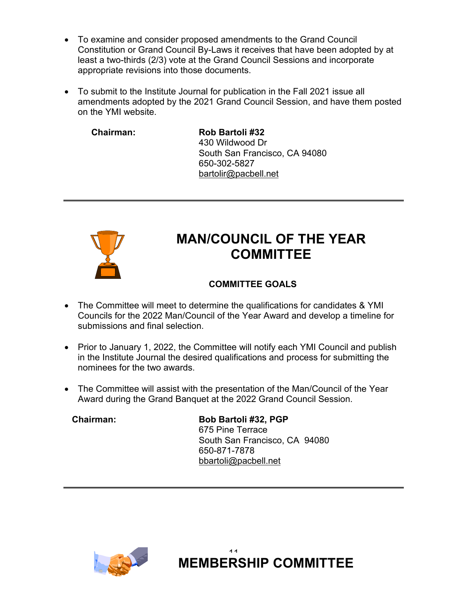- To examine and consider proposed amendments to the Grand Council Constitution or Grand Council By-Laws it receives that have been adopted by at least a two-thirds (2/3) vote at the Grand Council Sessions and incorporate appropriate revisions into those documents.
- To submit to the Institute Journal for publication in the Fall 2021 issue all amendments adopted by the 2021 Grand Council Session, and have them posted on the YMI website.

**Chairman: Rob Bartoli #32** 430 Wildwood Dr South San Francisco, CA 94080 650-302-5827 [bartolir@pacbell.net](mailto:bartolir@pacbell.net)



### **MAN/COUNCIL OF THE YEAR COMMITTEE**

### **COMMITTEE GOALS**

- The Committee will meet to determine the qualifications for candidates & YMI Councils for the 2022 Man/Council of the Year Award and develop a timeline for submissions and final selection.
- Prior to January 1, 2022, the Committee will notify each YMI Council and publish in the Institute Journal the desired qualifications and process for submitting the nominees for the two awards.
- The Committee will assist with the presentation of the Man/Council of the Year Award during the Grand Banquet at the 2022 Grand Council Session.

 **Chairman: Bob Bartoli #32, PGP** 675 Pine Terrace South San Francisco, CA 94080 650-871-7878 [bbartoli@pacbell.net](mailto:bbartoli@pacbell.net)



11 **MEMBERSHIP COMMITTEE**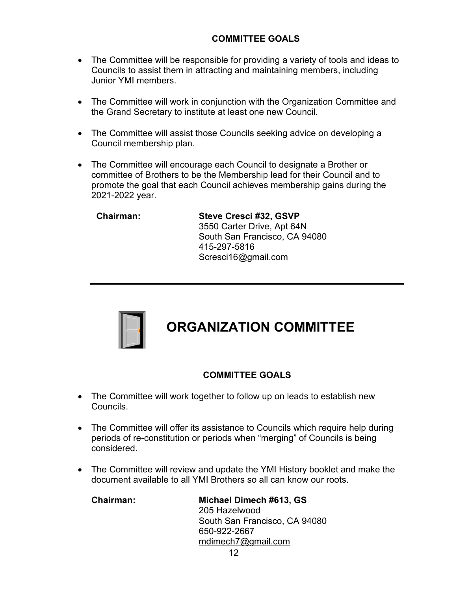#### **COMMITTEE GOALS**

- The Committee will be responsible for providing a variety of tools and ideas to Councils to assist them in attracting and maintaining members, including Junior YMI members.
- The Committee will work in conjunction with the Organization Committee and the Grand Secretary to institute at least one new Council.
- The Committee will assist those Councils seeking advice on developing a Council membership plan.
- The Committee will encourage each Council to designate a Brother or committee of Brothers to be the Membership lead for their Council and to promote the goal that each Council achieves membership gains during the 2021-2022 year.

 **Chairman: Steve Cresci #32, GSVP** 3550 Carter Drive, Apt 64N South San Francisco, CA 94080 415-297-5816 Scresci16@gmail.com



### **ORGANIZATION COMMITTEE**

#### **COMMITTEE GOALS**

- The Committee will work together to follow up on leads to establish new Councils.
- The Committee will offer its assistance to Councils which require help during periods of re-constitution or periods when "merging" of Councils is being considered.
- The Committee will review and update the YMI History booklet and make the document available to all YMI Brothers so all can know our roots.

 **Chairman: Michael Dimech #613, GS** 205 Hazelwood South San Francisco, CA 94080 650-922-2667 mdimech7@gmail.com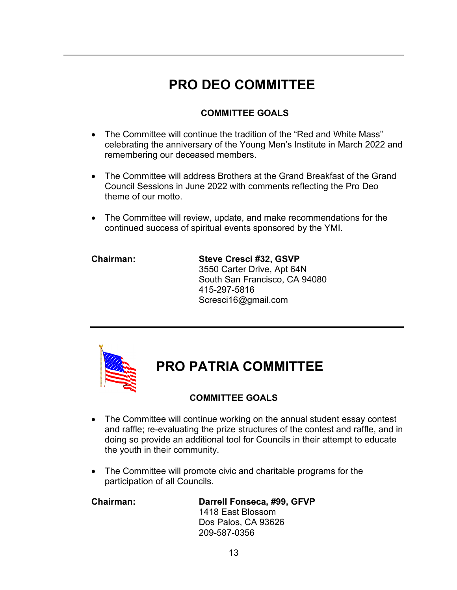### **PRO DEO COMMITTEE**

#### **COMMITTEE GOALS**

- The Committee will continue the tradition of the "Red and White Mass" celebrating the anniversary of the Young Men's Institute in March 2022 and remembering our deceased members.
- The Committee will address Brothers at the Grand Breakfast of the Grand Council Sessions in June 2022 with comments reflecting the Pro Deo theme of our motto.
- The Committee will review, update, and make recommendations for the continued success of spiritual events sponsored by the YMI.

**Chairman: Steve Cresci #32, GSVP** 3550 Carter Drive, Apt 64N South San Francisco, CA 94080 415-297-5816 Scresci16@gmail.com



### **PRO PATRIA COMMITTEE**

#### **COMMITTEE GOALS**

- The Committee will continue working on the annual student essay contest and raffle; re-evaluating the prize structures of the contest and raffle, and in doing so provide an additional tool for Councils in their attempt to educate the youth in their community.
- The Committee will promote civic and charitable programs for the participation of all Councils.

**Chairman: Darrell Fonseca, #99, GFVP** 1418 East Blossom Dos Palos, CA 93626 209-587-0356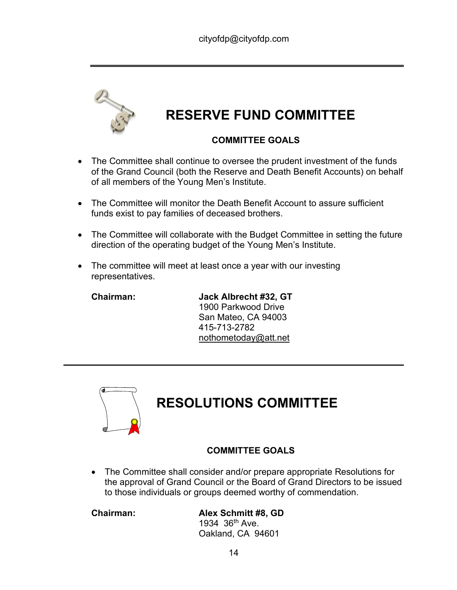

## **RESERVE FUND COMMITTEE**

#### **COMMITTEE GOALS**

- The Committee shall continue to oversee the prudent investment of the funds of the Grand Council (both the Reserve and Death Benefit Accounts) on behalf of all members of the Young Men's Institute.
- The Committee will monitor the Death Benefit Account to assure sufficient funds exist to pay families of deceased brothers.
- The Committee will collaborate with the Budget Committee in setting the future direction of the operating budget of the Young Men's Institute.
- The committee will meet at least once a year with our investing representatives.

**Chairman: Jack Albrecht #32, GT** 1900 Parkwood Drive San Mateo, CA 94003 415-713-2782 [nothometoday@att.net](mailto:nothometoday@att.net)



### **RESOLUTIONS COMMITTEE**

#### **COMMITTEE GOALS**

• The Committee shall consider and/or prepare appropriate Resolutions for the approval of Grand Council or the Board of Grand Directors to be issued to those individuals or groups deemed worthy of commendation.

**Chairman: Alex Schmitt #8, GD**

1934 36th Ave. Oakland, CA 94601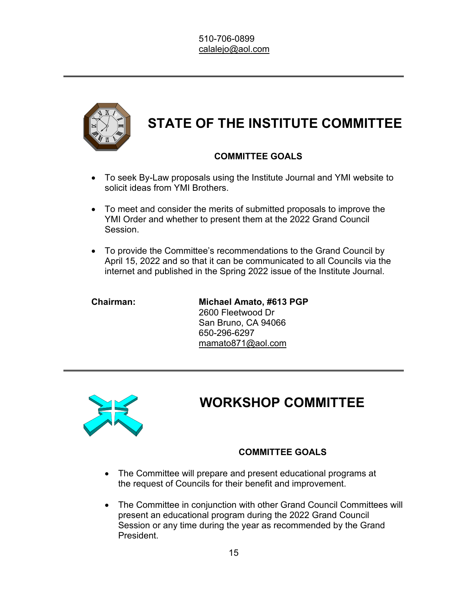

### **STATE OF THE INSTITUTE COMMITTEE**

### **COMMITTEE GOALS**

- To seek By-Law proposals using the Institute Journal and YMI website to solicit ideas from YMI Brothers.
- To meet and consider the merits of submitted proposals to improve the YMI Order and whether to present them at the 2022 Grand Council Session.
- To provide the Committee's recommendations to the Grand Council by April 15, 2022 and so that it can be communicated to all Councils via the internet and published in the Spring 2022 issue of the Institute Journal.

**Chairman: Michael Amato, #613 PGP** 2600 Fleetwood Dr San Bruno, CA 94066 650-296-6297 [mamato871@aol.com](mailto:mamato871@aol.com)



### **WORKSHOP COMMITTEE**

#### **COMMITTEE GOALS**

- The Committee will prepare and present educational programs at the request of Councils for their benefit and improvement.
- The Committee in conjunction with other Grand Council Committees will present an educational program during the 2022 Grand Council Session or any time during the year as recommended by the Grand **President**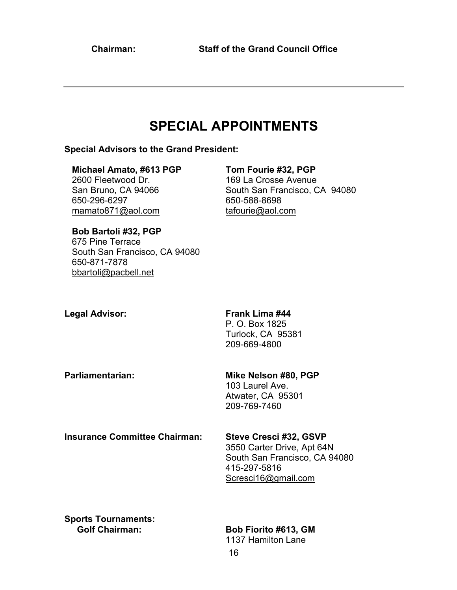### **SPECIAL APPOINTMENTS**

#### **Special Advisors to the Grand President:**

 **Michael Amato, #613 PGP Tom Fourie #32, PGP** 2600 Fleetwood Dr. 169 La Crosse Avenue 650-296-6297 650-588-8698 mamato871@aol.com [tafourie@aol.com](mailto:tafourie@aol.com)

San Bruno, CA 94066 South San Francisco, CA 94080

#### **Bob Bartoli #32, PGP**  675 Pine Terrace South San Francisco, CA 94080 650-871-7878

[bbartoli@pacbell.net](mailto:bbartoli@pacbell.net)

#### **Legal Advisor: Frank Lima #44**

P. O. Box 1825 Turlock, CA 95381 209-669-4800

**Parliamentarian: Mike Nelson #80, PGP**

103 Laurel Ave. Atwater, CA 95301 209-769-7460

**Insurance Committee Chairman: Steve Cresci #32, GSVP**

3550 Carter Drive, Apt 64N South San Francisco, CA 94080 415-297-5816 [Scresci16@gmail.com](mailto:Scresci16@gmail.com)

**Sports Tournaments:**

#### **Bob Fiorito #613, GM**

1137 Hamilton Lane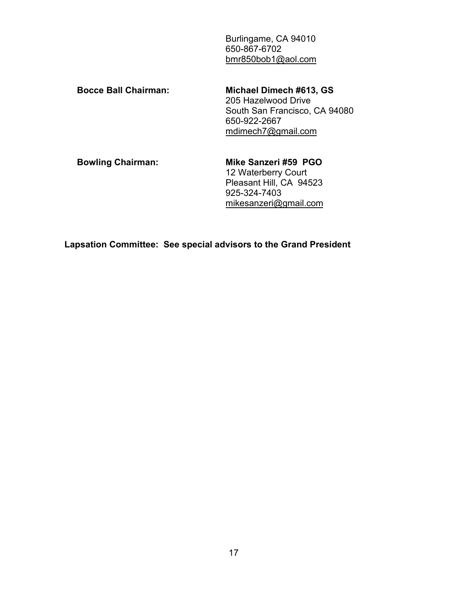Burlingame, CA 94010 650-867-6702 [bmr850bob1@aol.com](mailto:bmr850bob1@aol.com)

 **Bocce Ball Chairman: Michael Dimech #613, GS**

205 Hazelwood Drive South San Francisco, CA 94080 650-922-2667 [mdimech7@gmail.com](mailto:mdimech7@gmail.com)

 **Bowling Chairman: Mike Sanzeri #59 PGO**

12 Waterberry Court Pleasant Hill, CA 94523 925-324-7403 [mikesanzeri@gmail.com](mailto:mikesanzeri@gmail.com)

**Lapsation Committee: See special advisors to the Grand President**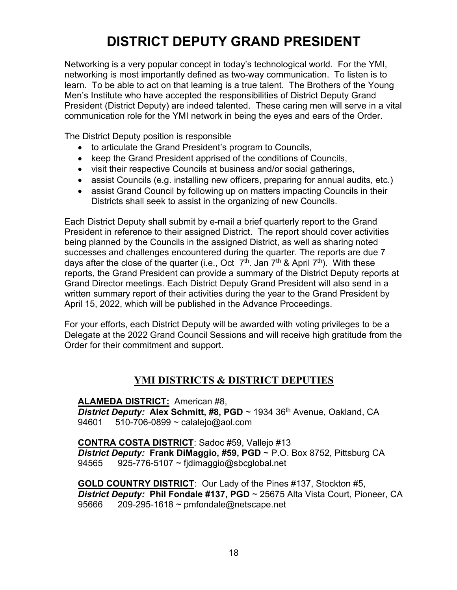### **DISTRICT DEPUTY GRAND PRESIDENT**

Networking is a very popular concept in today's technological world. For the YMI, networking is most importantly defined as two-way communication. To listen is to learn. To be able to act on that learning is a true talent. The Brothers of the Young Men's Institute who have accepted the responsibilities of District Deputy Grand President (District Deputy) are indeed talented. These caring men will serve in a vital communication role for the YMI network in being the eyes and ears of the Order.

The District Deputy position is responsible

- to articulate the Grand President's program to Councils,
- keep the Grand President apprised of the conditions of Councils,
- visit their respective Councils at business and/or social gatherings,
- assist Councils (e.g. installing new officers, preparing for annual audits, etc.)
- assist Grand Council by following up on matters impacting Councils in their Districts shall seek to assist in the organizing of new Councils.

Each District Deputy shall submit by e-mail a brief quarterly report to the Grand President in reference to their assigned District. The report should cover activities being planned by the Councils in the assigned District, as well as sharing noted successes and challenges encountered during the quarter. The reports are due 7 days after the close of the quarter (i.e., Oct  $7<sup>th</sup>$ . Jan  $7<sup>th</sup>$  & April  $7<sup>th</sup>$ ). With these reports, the Grand President can provide a summary of the District Deputy reports at Grand Director meetings. Each District Deputy Grand President will also send in a written summary report of their activities during the year to the Grand President by April 15, 2022, which will be published in the Advance Proceedings.

For your efforts, each District Deputy will be awarded with voting privileges to be a Delegate at the 2022 Grand Council Sessions and will receive high gratitude from the Order for their commitment and support.

### **YMI DISTRICTS & DISTRICT DEPUTIES**

#### **ALAMEDA DISTRICT:** American #8,

**District Deputy: Alex Schmitt, #8, PGD** ~ 1934 36<sup>th</sup> Avenue, Oakland, CA<br>94601 510-706-0899 ~ calaleio@aol.com 510-706-0899  $\sim$  calalejo@aol.com

**CONTRA COSTA DISTRICT**: Sadoc #59, Vallejo #13 *District Deputy:* **Frank DiMaggio, #59, PGD** ~ P.O. Box 8752, Pittsburg CA 94565 925-776-5107 ~ fjdimaggio@sbcglobal.net

**GOLD COUNTRY DISTRICT**: Our Lady of the Pines #137, Stockton #5, *District Deputy:* **Phil Fondale #137, PGD** ~ 25675 Alta Vista Court, Pioneer, CA 95666 209-295-1618 ~ pmfondale@netscape.net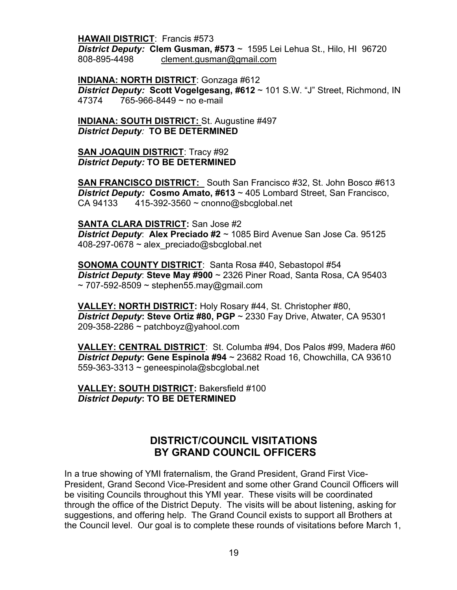**HAWAII DISTRICT**: Francis #573

*District Deputy:* **Clem Gusman, #573** ~ 1595 Lei Lehua St., Hilo, HI 96720 808-895-4498 [clement.gusman@gmail.com](mailto:clement.gusman@gmail.com)

**INDIANA: NORTH DISTRICT**: Gonzaga #612

*District Deputy:* **Scott Vogelgesang, #612** ~ 101 S.W. "J" Street, Richmond, IN 47374 765-966-8449 ~ no e-mail

**INDIANA: SOUTH DISTRICT:** St. Augustine #497 *District Deputy:* **TO BE DETERMINED**

**SAN JOAQUIN DISTRICT**: Tracy #92 *District Deputy:* **TO BE DETERMINED**

**SAN FRANCISCO DISTRICT:** South San Francisco #32, St. John Bosco #613 *District Deputy:* **Cosmo Amato, #613** ~ 405 Lombard Street, San Francisco, CA 94133  $415-392-3560 \sim \text{conomo}(\omega)$ sbcglobal.net

**SANTA CLARA DISTRICT:** San Jose #2 *District Deputy*: **Alex Preciado #2** ~ 1085 Bird Avenue San Jose Ca. 95125  $408-297-0678 \sim$  alex preciado@sbcglobal.net

**SONOMA COUNTY DISTRICT**: Santa Rosa #40, Sebastopol #54 *District Deputy*: **Steve May #900** ~ 2326 Piner Road, Santa Rosa, CA 95403  $\sim$  707-592-8509  $\sim$  stephen55.may@gmail.com

**VALLEY: NORTH DISTRICT:** Holy Rosary #44, St. Christopher #80, *District Deputy***: Steve Ortiz #80, PGP** ~ 2330 Fay Drive, Atwater, CA 95301  $209-358-2286 \sim$  patchboyz@yahool.com

**VALLEY: CENTRAL DISTRICT**: St. Columba #94, Dos Palos #99, Madera #60 *District Deputy***: Gene Espinola #94** ~ 23682 Road 16, Chowchilla, CA 93610 559-363-3313  $\sim$  geneespinola@sbcglobal.net

**VALLEY: SOUTH DISTRICT:** Bakersfield #100 *District Deputy***: TO BE DETERMINED**

#### **DISTRICT/COUNCIL VISITATIONS BY GRAND COUNCIL OFFICERS**

In a true showing of YMI fraternalism, the Grand President, Grand First Vice-President, Grand Second Vice-President and some other Grand Council Officers will be visiting Councils throughout this YMI year. These visits will be coordinated through the office of the District Deputy. The visits will be about listening, asking for suggestions, and offering help. The Grand Council exists to support all Brothers at the Council level. Our goal is to complete these rounds of visitations before March 1,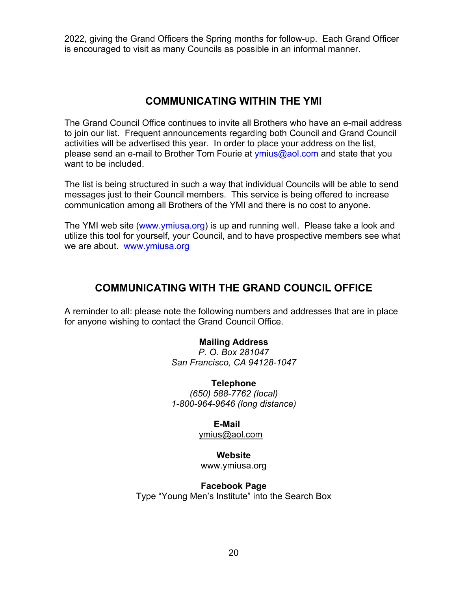2022, giving the Grand Officers the Spring months for follow-up. Each Grand Officer is encouraged to visit as many Councils as possible in an informal manner.

### **COMMUNICATING WITHIN THE YMI**

The Grand Council Office continues to invite all Brothers who have an e-mail address to join our list. Frequent announcements regarding both Council and Grand Council activities will be advertised this year. In order to place your address on the list, please send an e-mail to Brother Tom Fourie at  $ymius@aol.com$  and state that you want to be included.

The list is being structured in such a way that individual Councils will be able to send messages just to their Council members. This service is being offered to increase communication among all Brothers of the YMI and there is no cost to anyone.

The YMI web site [\(www.ymiusa.org\)](http://www.ymiusa.org/) is up and running well. Please take a look and utilize this tool for yourself, your Council, and to have prospective members see what we are about. [www.ymiusa.org](http://www.ymiusa.org/)

### **COMMUNICATING WITH THE GRAND COUNCIL OFFICE**

A reminder to all: please note the following numbers and addresses that are in place for anyone wishing to contact the Grand Council Office.

#### **Mailing Address**

*P. O. Box 281047 San Francisco, CA 94128-1047*

**Telephone** *(650) 588-7762 (local) 1-800-964-9646 (long distance)*

#### **E-Mail**

ymius@aol.com

**Website**  [www.ymiusa.org](http://www.ymiusa.org/)

**Facebook Page** Type "Young Men's Institute" into the Search Box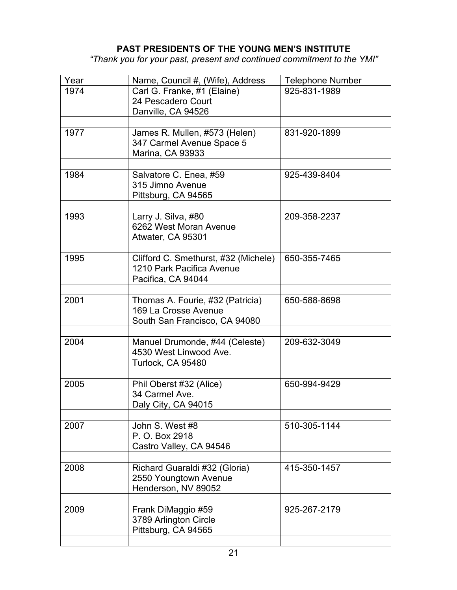#### **PAST PRESIDENTS OF THE YOUNG MEN'S INSTITUTE**

*"Thank you for your past, present and continued commitment to the YMI"*

| Year | Name, Council #, (Wife), Address           | <b>Telephone Number</b> |
|------|--------------------------------------------|-------------------------|
| 1974 | Carl G. Franke, #1 (Elaine)                | 925-831-1989            |
|      | 24 Pescadero Court                         |                         |
|      | Danville, CA 94526                         |                         |
|      |                                            |                         |
| 1977 | James R. Mullen, #573 (Helen)              | 831-920-1899            |
|      | 347 Carmel Avenue Space 5                  |                         |
|      | <b>Marina, CA 93933</b>                    |                         |
|      |                                            |                         |
| 1984 | Salvatore C. Enea, #59<br>315 Jimno Avenue | 925-439-8404            |
|      |                                            |                         |
|      | Pittsburg, CA 94565                        |                         |
| 1993 | Larry J. Silva, #80                        | 209-358-2237            |
|      | 6262 West Moran Avenue                     |                         |
|      | Atwater, CA 95301                          |                         |
|      |                                            |                         |
| 1995 | Clifford C. Smethurst, #32 (Michele)       | 650-355-7465            |
|      | 1210 Park Pacifica Avenue                  |                         |
|      | Pacifica, CA 94044                         |                         |
|      |                                            |                         |
| 2001 | Thomas A. Fourie, #32 (Patricia)           | 650-588-8698            |
|      | 169 La Crosse Avenue                       |                         |
|      | South San Francisco, CA 94080              |                         |
|      |                                            |                         |
| 2004 | Manuel Drumonde, #44 (Celeste)             | 209-632-3049            |
|      | 4530 West Linwood Ave.                     |                         |
|      | Turlock, CA 95480                          |                         |
| 2005 | Phil Oberst #32 (Alice)                    | 650-994-9429            |
|      | 34 Carmel Ave.                             |                         |
|      | Daly City, CA 94015                        |                         |
|      |                                            |                         |
| 2007 | John S. West #8                            | 510-305-1144            |
|      | P. O. Box 2918                             |                         |
|      | Castro Valley, CA 94546                    |                         |
|      |                                            |                         |
| 2008 | Richard Guaraldi #32 (Gloria)              | 415-350-1457            |
|      | 2550 Youngtown Avenue                      |                         |
|      | Henderson, NV 89052                        |                         |
|      |                                            |                         |
| 2009 | Frank DiMaggio #59                         | 925-267-2179            |
|      | 3789 Arlington Circle                      |                         |
|      | Pittsburg, CA 94565                        |                         |
|      |                                            |                         |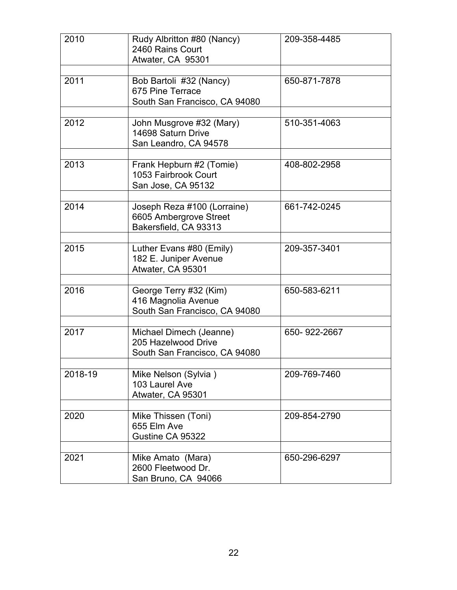| 2010    | Rudy Albritton #80 (Nancy)<br>2460 Rains Court<br>Atwater, CA 95301             | 209-358-4485 |
|---------|---------------------------------------------------------------------------------|--------------|
| 2011    | Bob Bartoli #32 (Nancy)<br>675 Pine Terrace<br>South San Francisco, CA 94080    | 650-871-7878 |
| 2012    | John Musgrove #32 (Mary)<br>14698 Saturn Drive<br>San Leandro, CA 94578         | 510-351-4063 |
| 2013    | Frank Hepburn #2 (Tomie)<br>1053 Fairbrook Court<br>San Jose, CA 95132          | 408-802-2958 |
| 2014    | Joseph Reza #100 (Lorraine)<br>6605 Ambergrove Street<br>Bakersfield, CA 93313  | 661-742-0245 |
| 2015    | Luther Evans #80 (Emily)<br>182 E. Juniper Avenue<br>Atwater, CA 95301          | 209-357-3401 |
| 2016    | George Terry #32 (Kim)<br>416 Magnolia Avenue<br>South San Francisco, CA 94080  | 650-583-6211 |
| 2017    | Michael Dimech (Jeanne)<br>205 Hazelwood Drive<br>South San Francisco, CA 94080 | 650-922-2667 |
| 2018-19 | Mike Nelson (Sylvia)<br>103 Laurel Ave<br>Atwater, CA 95301                     | 209-769-7460 |
| 2020    | Mike Thissen (Toni)<br>655 Elm Ave<br>Gustine CA 95322                          | 209-854-2790 |
| 2021    | Mike Amato (Mara)<br>2600 Fleetwood Dr.<br>San Bruno, CA 94066                  | 650-296-6297 |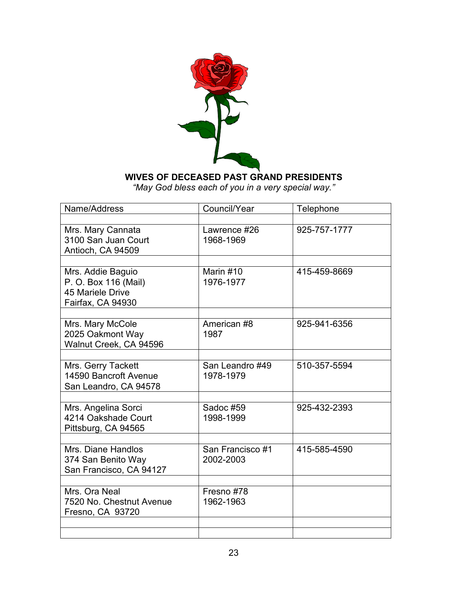

#### **WIVES OF DECEASED PAST GRAND PRESIDENTS**

*"May God bless each of you in a very special way."*

| Name/Address                                                                       | Council/Year                  | Telephone    |
|------------------------------------------------------------------------------------|-------------------------------|--------------|
|                                                                                    |                               |              |
| Mrs. Mary Cannata<br>3100 San Juan Court<br>Antioch, CA 94509                      | Lawrence #26<br>1968-1969     | 925-757-1777 |
|                                                                                    |                               |              |
| Mrs. Addie Baguio<br>P. O. Box 116 (Mail)<br>45 Mariele Drive<br>Fairfax, CA 94930 | Marin #10<br>1976-1977        | 415-459-8669 |
|                                                                                    |                               |              |
| Mrs. Mary McCole<br>2025 Oakmont Way<br>Walnut Creek, CA 94596                     | American #8<br>1987           | 925-941-6356 |
|                                                                                    |                               |              |
| Mrs. Gerry Tackett<br>14590 Bancroft Avenue<br>San Leandro, CA 94578               | San Leandro #49<br>1978-1979  | 510-357-5594 |
|                                                                                    |                               |              |
| Mrs. Angelina Sorci<br>4214 Oakshade Court<br>Pittsburg, CA 94565                  | Sadoc #59<br>1998-1999        | 925-432-2393 |
|                                                                                    |                               |              |
| Mrs. Diane Handlos<br>374 San Benito Way<br>San Francisco, CA 94127                | San Francisco #1<br>2002-2003 | 415-585-4590 |
|                                                                                    |                               |              |
| Mrs. Ora Neal<br>7520 No. Chestnut Avenue<br>Fresno, CA 93720                      | Fresno #78<br>1962-1963       |              |
|                                                                                    |                               |              |
|                                                                                    |                               |              |